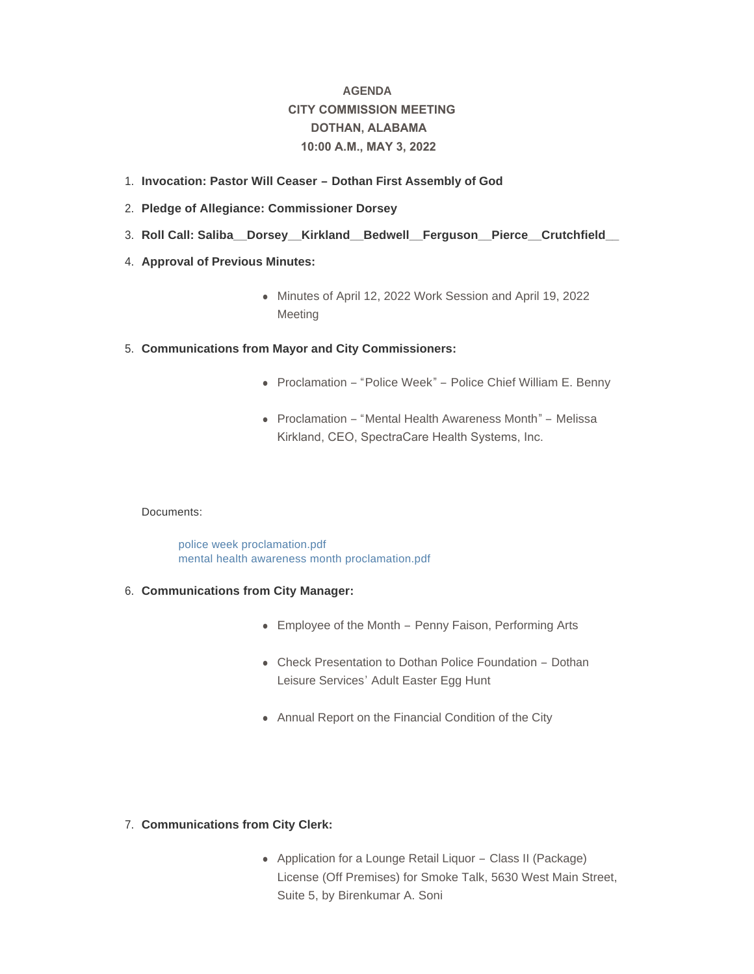# **AGENDA CITY COMMISSION MEETING DOTHAN, ALABAMA 10:00 A.M., MAY 3, 2022**

- **Invocation: Pastor Will Ceaser – Dothan First Assembly of God**  1.
- **Pledge of Allegiance: Commissioner Dorsey** 2.
- **Roll Call: Saliba\_\_Dorsey\_\_Kirkland\_\_Bedwell\_\_Ferguson\_\_Pierce\_\_Crutchfield\_\_**  3.
- 4. **Approval of Previous Minutes:** 
	- Minutes of April 12, 2022 Work Session and April 19, 2022 Meeting
- **Communications from Mayor and City Commissioners:** 5.
	- Proclamation "Police Week" Police Chief William E. Benny
	- Proclamation "Mental Health Awareness Month" Melissa Kirkland, CEO, SpectraCare Health Systems, Inc.

# Documents:

[police week proclamation.pdf](http://www.dothan.org/AgendaCenter/ViewFile/Item/7757?fileID=12439) [mental health awareness month proclamation.pdf](http://www.dothan.org/AgendaCenter/ViewFile/Item/7757?fileID=12440)

- **Communications from City Manager:** 6.
	- Employee of the Month Penny Faison, Performing Arts
	- Check Presentation to Dothan Police Foundation Dothan Leisure Services' Adult Easter Egg Hunt
	- Annual Report on the Financial Condition of the City

# **Communications from City Clerk:** 7.

• Application for a Lounge Retail Liquor – Class II (Package) License (Off Premises) for Smoke Talk, 5630 West Main Street, Suite 5, by Birenkumar A. Soni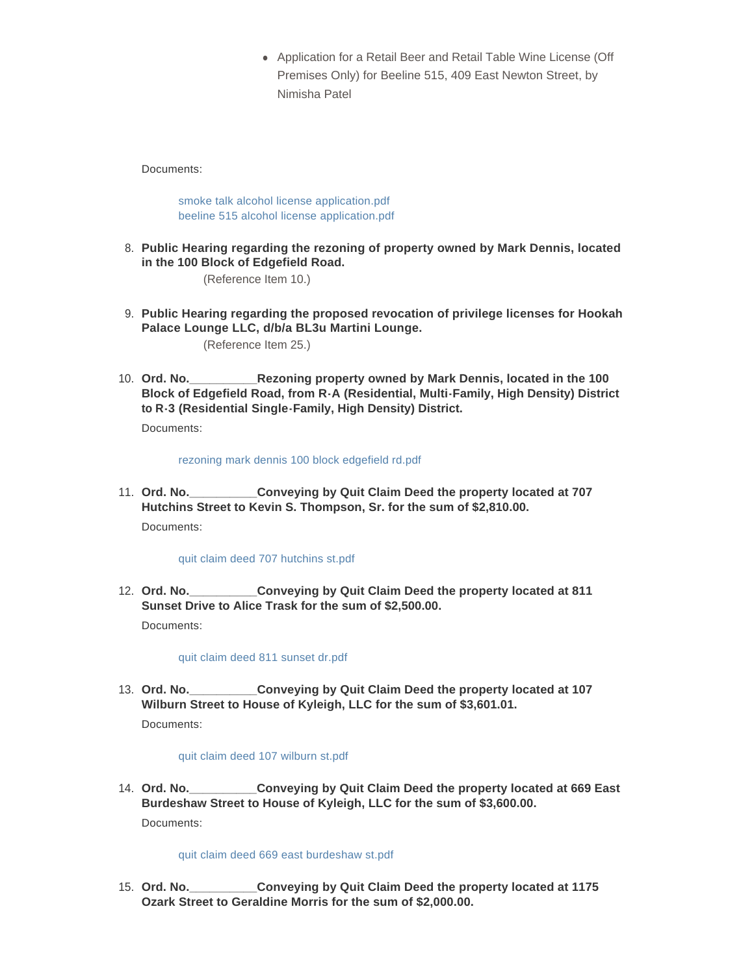• Application for a Retail Beer and Retail Table Wine License (Off Premises Only) for Beeline 515, 409 East Newton Street, by Nimisha Patel

Documents:

[smoke talk alcohol license application.pdf](http://www.dothan.org/AgendaCenter/ViewFile/Item/7759?fileID=12441) [beeline 515 alcohol license application.pdf](http://www.dothan.org/AgendaCenter/ViewFile/Item/7759?fileID=12442)

**Public Hearing regarding the rezoning of property owned by Mark Dennis, located**  8. **in the 100 Block of Edgefield Road.** 

(Reference Item 10.)

- **Public Hearing regarding the proposed revocation of privilege licenses for Hookah**  9. **Palace Lounge LLC, d/b/a BL3u Martini Lounge.**  (Reference Item 25.)
- **Rezoning property owned by Mark Dennis, located in the 100 Block of Edgefield Road, from R-A (Residential, Multi-Family, High Density) District to R-3 (Residential Single-Family, High Density) District.** 10. Ord. No.

Documents:

[rezoning mark dennis 100 block edgefield rd.pdf](http://www.dothan.org/AgendaCenter/ViewFile/Item/7727?fileID=12413)

**Conveying by Quit Claim Deed the property located at 707 Hutchins Street to Kevin S. Thompson, Sr. for the sum of \$2,810.00.** 11. Ord. No. Documents:

[quit claim deed 707 hutchins st.pdf](http://www.dothan.org/AgendaCenter/ViewFile/Item/7728?fileID=12414)

**Conveying by Quit Claim Deed the property located at 811 Sunset Drive to Alice Trask for the sum of \$2,500.00.** 12. Ord. No. Documents:

[quit claim deed 811 sunset dr.pdf](http://www.dothan.org/AgendaCenter/ViewFile/Item/7729?fileID=12415)

**Conveying by Quit Claim Deed the property located at 107 Wilburn Street to House of Kyleigh, LLC for the sum of \$3,601.01.** 13. Ord. No.

Documents:

[quit claim deed 107 wilburn st.pdf](http://www.dothan.org/AgendaCenter/ViewFile/Item/7730?fileID=12416)

**Conveying by Quit Claim Deed the property located at 669 East Burdeshaw Street to House of Kyleigh, LLC for the sum of \$3,600.00.** 14. Ord. No. Documents:

[quit claim deed 669 east burdeshaw st.pdf](http://www.dothan.org/AgendaCenter/ViewFile/Item/7731?fileID=12417)

**Conveying by Quit Claim Deed the property located at 1175 Ozark Street to Geraldine Morris for the sum of \$2,000.00.** 15. Ord. No.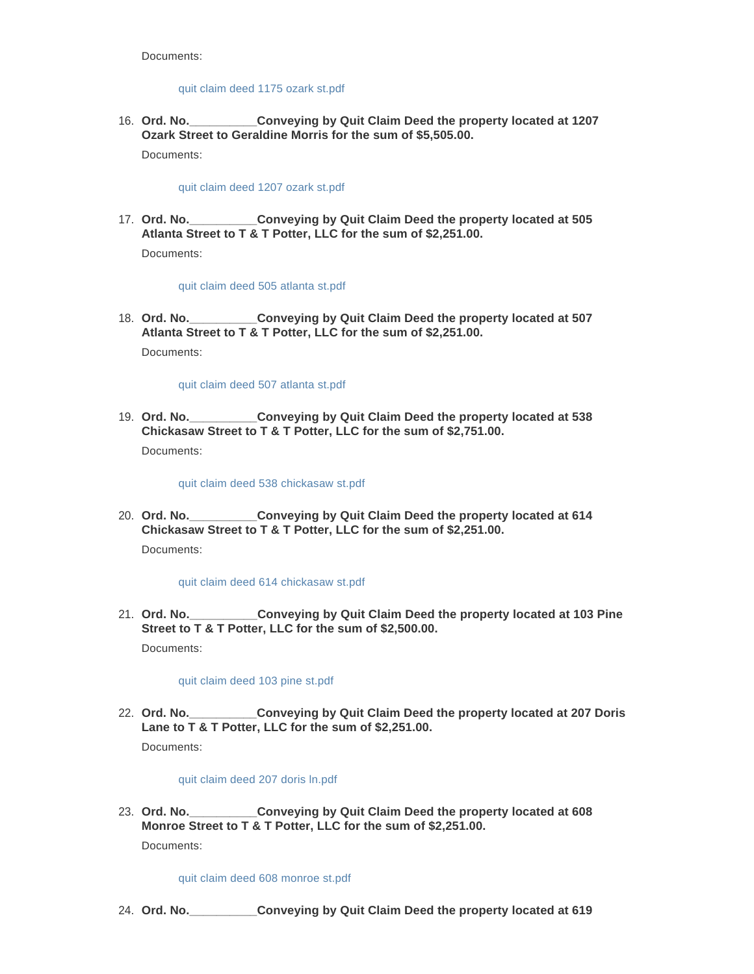Documents:

# [quit claim deed 1175 ozark st.pdf](http://www.dothan.org/AgendaCenter/ViewFile/Item/7732?fileID=12418)

**Conveying by Quit Claim Deed the property located at 1207 Ozark Street to Geraldine Morris for the sum of \$5,505.00.** 16. Ord. No. Documents:

[quit claim deed 1207 ozark st.pdf](http://www.dothan.org/AgendaCenter/ViewFile/Item/7733?fileID=12419)

**Conveying by Quit Claim Deed the property located at 505 Atlanta Street to T & T Potter, LLC for the sum of \$2,251.00.** 17. Ord. No.

Documents:

[quit claim deed 505 atlanta st.pdf](http://www.dothan.org/AgendaCenter/ViewFile/Item/7734?fileID=12420)

**Conveying by Quit Claim Deed the property located at 507 Atlanta Street to T & T Potter, LLC for the sum of \$2,251.00.** 18. Ord. No. Documents:

[quit claim deed 507 atlanta st.pdf](http://www.dothan.org/AgendaCenter/ViewFile/Item/7735?fileID=12421)

**Conveying by Quit Claim Deed the property located at 538 Chickasaw Street to T & T Potter, LLC for the sum of \$2,751.00.** 19. Ord. No. Documents:

[quit claim deed 538 chickasaw st.pdf](http://www.dothan.org/AgendaCenter/ViewFile/Item/7736?fileID=12422)

**Conveying by Quit Claim Deed the property located at 614 Chickasaw Street to T & T Potter, LLC for the sum of \$2,251.00.** 20. Ord. No. Documents:

[quit claim deed 614 chickasaw st.pdf](http://www.dothan.org/AgendaCenter/ViewFile/Item/7737?fileID=12423)

**Conveying by Quit Claim Deed the property located at 103 Pine Street to T & T Potter, LLC for the sum of \$2,500.00.** 21. Ord. No. Documents:

[quit claim deed 103 pine st.pdf](http://www.dothan.org/AgendaCenter/ViewFile/Item/7738?fileID=12424)

**Conveying by Quit Claim Deed the property located at 207 Doris Lane to T & T Potter, LLC for the sum of \$2,251.00.** 22. Ord. No.

Documents:

[quit claim deed 207 doris ln.pdf](http://www.dothan.org/AgendaCenter/ViewFile/Item/7739?fileID=12425)

**Conveying by Quit Claim Deed the property located at 608 Monroe Street to T & T Potter, LLC for the sum of \$2,251.00.** 23. Ord. No. Documents:

[quit claim deed 608 monroe st.pdf](http://www.dothan.org/AgendaCenter/ViewFile/Item/7740?fileID=12426)

**Ord. No.\_\_\_\_\_\_\_\_\_\_Conveying by Quit Claim Deed the property located at 619**  24.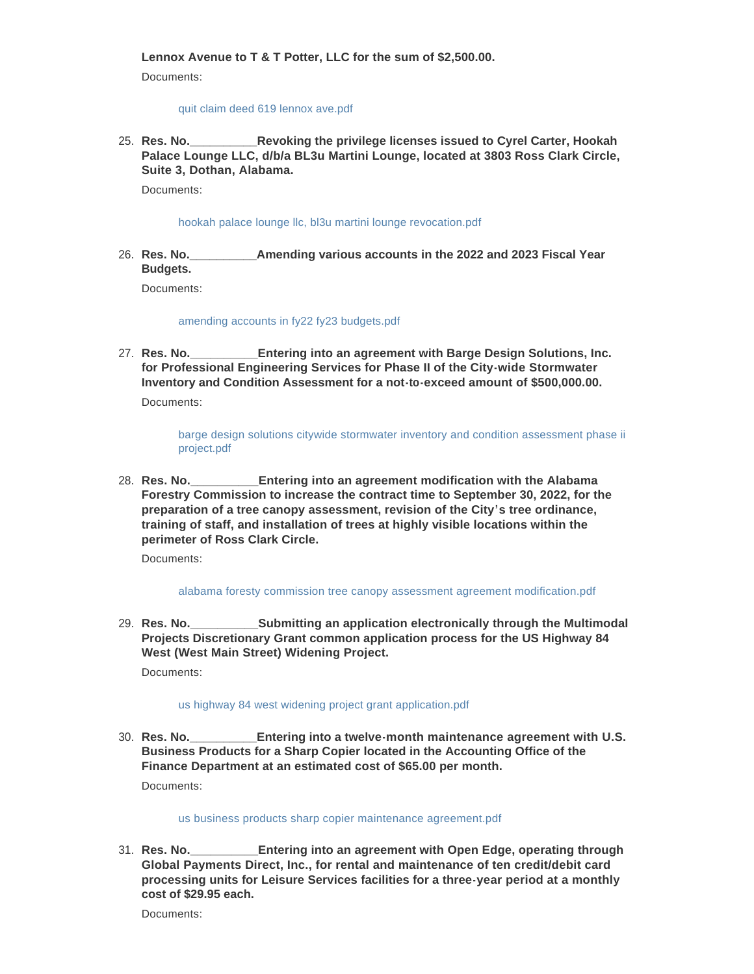**Lennox Avenue to T & T Potter, LLC for the sum of \$2,500.00.**

Documents:

## [quit claim deed 619 lennox ave.pdf](http://www.dothan.org/AgendaCenter/ViewFile/Item/7741?fileID=12427)

**Revoking the privilege licenses issued to Cyrel Carter, Hookah Palace Lounge LLC, d/b/a BL3u Martini Lounge, located at 3803 Ross Clark Circle, Suite 3, Dothan, Alabama.** 25. Res. No.

Documents:

[hookah palace lounge llc, bl3u martini lounge revocation.pdf](http://www.dothan.org/AgendaCenter/ViewFile/Item/7742?fileID=12428)

**Res. No.\_\_\_\_\_\_\_\_\_\_Amending various accounts in the 2022 and 2023 Fiscal Year Budgets.** 26. Res. No.

Documents:

[amending accounts in fy22 fy23 budgets.pdf](http://www.dothan.org/AgendaCenter/ViewFile/Item/7743?fileID=12429)

**Entering into an agreement with Barge Design Solutions, Inc. for Professional Engineering Services for Phase II of the City-wide Stormwater Inventory and Condition Assessment for a not-to-exceed amount of \$500,000.00.** 27. Res. No.

Documents:

[barge design solutions citywide stormwater inventory and condition assessment phase ii](http://www.dothan.org/AgendaCenter/ViewFile/Item/7744?fileID=12430)  project.pdf

**Entering into an agreement modification with the Alabama Forestry Commission to increase the contract time to September 30, 2022, for the preparation of a tree canopy assessment, revision of the City's tree ordinance, training of staff, and installation of trees at highly visible locations within the perimeter of Ross Clark Circle.** 28. Res. No.

Documents:

#### [alabama foresty commission tree canopy assessment agreement modification.pdf](http://www.dothan.org/AgendaCenter/ViewFile/Item/7745?fileID=12431)

**Submitting an application electronically through the Multimodal Projects Discretionary Grant common application process for the US Highway 84 West (West Main Street) Widening Project.** 29. Res. No.

Documents:

## [us highway 84 west widening project grant application.pdf](http://www.dothan.org/AgendaCenter/ViewFile/Item/7746?fileID=12432)

**Entering into a twelve-month maintenance agreement with U.S. Business Products for a Sharp Copier located in the Accounting Office of the Finance Department at an estimated cost of \$65.00 per month.** 30. Res. No. Documents:

#### [us business products sharp copier maintenance agreement.pdf](http://www.dothan.org/AgendaCenter/ViewFile/Item/7747?fileID=12433)

**Entering into an agreement with Open Edge, operating through Global Payments Direct, Inc., for rental and maintenance of ten credit/debit card processing units for Leisure Services facilities for a three-year period at a monthly cost of \$29.95 each.** 31. **Res. No.** 

Documents: